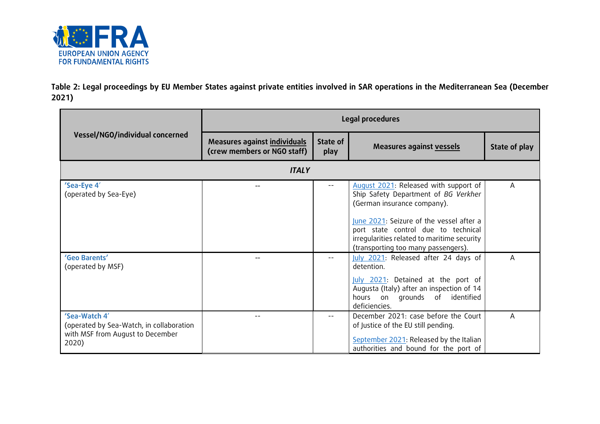

**Table 2: Legal proceedings by EU Member States against private entities involved in SAR operations in the Mediterranean Sea (December 2021)**

|                                                                                                        | Legal procedures                                            |                  |                                                                                                                                                                       |               |
|--------------------------------------------------------------------------------------------------------|-------------------------------------------------------------|------------------|-----------------------------------------------------------------------------------------------------------------------------------------------------------------------|---------------|
| Vessel/NGO/individual concerned                                                                        | Measures against individuals<br>(crew members or NGO staff) | State of<br>play | Measures against vessels                                                                                                                                              | State of play |
|                                                                                                        | <b>ITALY</b>                                                |                  |                                                                                                                                                                       |               |
| 'Sea-Eye 4'<br>(operated by Sea-Eye)                                                                   |                                                             | $-\,-$           | August 2021: Released with support of<br>Ship Safety Department of BG Verkher<br>(German insurance company).                                                          | A             |
|                                                                                                        |                                                             |                  | June 2021: Seizure of the vessel after a<br>port state control due to technical<br>irregularities related to maritime security<br>(transporting too many passengers). |               |
| 'Geo Barents'<br>(operated by MSF)                                                                     |                                                             | $- -$            | July 2021: Released after 24 days of<br>detention.                                                                                                                    | A             |
|                                                                                                        |                                                             |                  | July 2021: Detained at the port of<br>Augusta (Italy) after an inspection of 14<br>hours on grounds of identified<br>deficiencies.                                    |               |
| 'Sea-Watch 4'<br>(operated by Sea-Watch, in collaboration<br>with MSF from August to December<br>2020) |                                                             | --               | December 2021: case before the Court<br>of Justice of the EU still pending.<br>September 2021: Released by the Italian<br>authorities and bound for the port of       | Α             |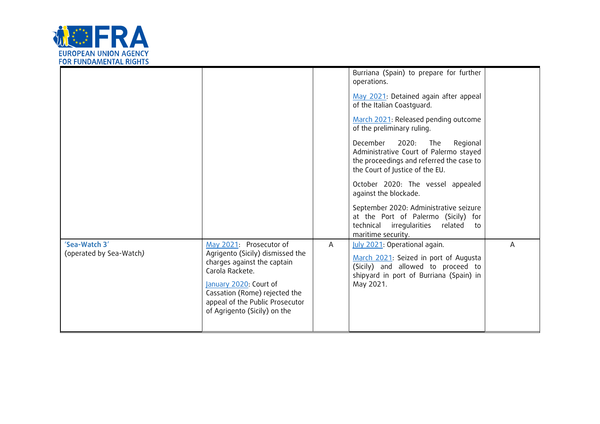

|                                          |                                                                                                                                                                                                                                             |   | Burriana (Spain) to prepare for further<br>operations.<br>May 2021: Detained again after appeal<br>of the Italian Coastguard.<br>March 2021: Released pending outcome<br>of the preliminary ruling.<br>December<br>2020:<br>The<br>Regional<br>Administrative Court of Palermo stayed<br>the proceedings and referred the case to<br>the Court of Justice of the EU.<br>October 2020: The vessel appealed<br>against the blockade.<br>September 2020: Administrative seizure<br>at the Port of Palermo (Sicily) for<br>related to<br>technical irregularities<br>maritime security. |   |
|------------------------------------------|---------------------------------------------------------------------------------------------------------------------------------------------------------------------------------------------------------------------------------------------|---|-------------------------------------------------------------------------------------------------------------------------------------------------------------------------------------------------------------------------------------------------------------------------------------------------------------------------------------------------------------------------------------------------------------------------------------------------------------------------------------------------------------------------------------------------------------------------------------|---|
| 'Sea-Watch 3'<br>(operated by Sea-Watch) | May 2021: Prosecutor of<br>Agrigento (Sicily) dismissed the<br>charges against the captain<br>Carola Rackete.<br>January 2020: Court of<br>Cassation (Rome) rejected the<br>appeal of the Public Prosecutor<br>of Agrigento (Sicily) on the | A | July 2021: Operational again.<br>March 2021: Seized in port of Augusta<br>(Sicily) and allowed to proceed to<br>shipyard in port of Burriana (Spain) in<br>May 2021.                                                                                                                                                                                                                                                                                                                                                                                                                | Α |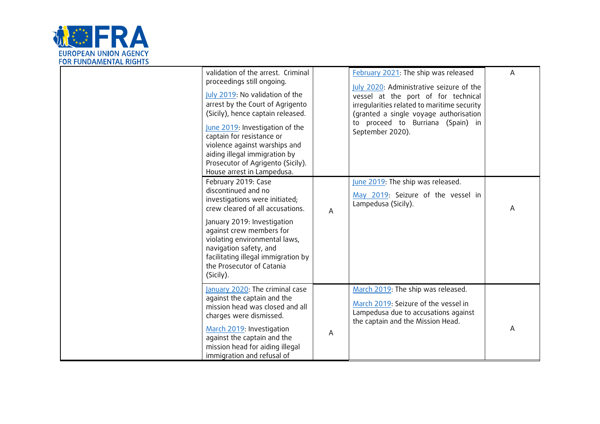

| validation of the arrest. Criminal<br>proceedings still ongoing.<br>July 2019: No validation of the<br>arrest by the Court of Agrigento<br>(Sicily), hence captain released.<br>June 2019: Investigation of the<br>captain for resistance or<br>violence against warships and<br>aiding illegal immigration by<br>Prosecutor of Agrigento (Sicily).<br>House arrest in Lampedusa. |   | February 2021: The ship was released<br>July 2020: Administrative seizure of the<br>vessel at the port of for technical<br>irregularities related to maritime security<br>(granted a single voyage authorisation<br>to proceed to Burriana (Spain) in<br>September 2020). | Α |
|-----------------------------------------------------------------------------------------------------------------------------------------------------------------------------------------------------------------------------------------------------------------------------------------------------------------------------------------------------------------------------------|---|---------------------------------------------------------------------------------------------------------------------------------------------------------------------------------------------------------------------------------------------------------------------------|---|
| February 2019: Case<br>discontinued and no<br>investigations were initiated;<br>crew cleared of all accusations.<br>January 2019: Investigation<br>against crew members for<br>violating environmental laws,<br>navigation safety, and<br>facilitating illegal immigration by<br>the Prosecutor of Catania<br>(Sicily).                                                           | A | June 2019: The ship was released.<br>May 2019: Seizure of the vessel in<br>Lampedusa (Sicily).                                                                                                                                                                            | Α |
| January 2020: The criminal case<br>against the captain and the<br>mission head was closed and all<br>charges were dismissed.<br>March 2019: Investigation<br>against the captain and the<br>mission head for aiding illegal<br>immigration and refusal of                                                                                                                         | A | March 2019: The ship was released.<br>March 2019: Seizure of the vessel in<br>Lampedusa due to accusations against<br>the captain and the Mission Head.                                                                                                                   | Α |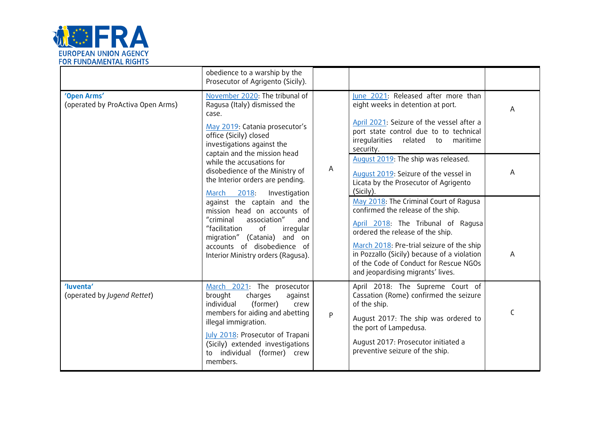

|                                                  | obedience to a warship by the<br>Prosecutor of Agrigento (Sicily).                                                                                                                                                                                                                                                                                                                                                                                                                                                                                                                    |           |                                                                                                                                                                                                                                                                                                                                                                                                                                                                                                                                                                                                                                                                                                  |             |
|--------------------------------------------------|---------------------------------------------------------------------------------------------------------------------------------------------------------------------------------------------------------------------------------------------------------------------------------------------------------------------------------------------------------------------------------------------------------------------------------------------------------------------------------------------------------------------------------------------------------------------------------------|-----------|--------------------------------------------------------------------------------------------------------------------------------------------------------------------------------------------------------------------------------------------------------------------------------------------------------------------------------------------------------------------------------------------------------------------------------------------------------------------------------------------------------------------------------------------------------------------------------------------------------------------------------------------------------------------------------------------------|-------------|
| 'Open Arms'<br>(operated by ProActiva Open Arms) | November 2020: The tribunal of<br>Ragusa (Italy) dismissed the<br>case.<br>May 2019: Catania prosecutor's<br>office (Sicily) closed<br>investigations against the<br>captain and the mission head<br>while the accusations for<br>disobedience of the Ministry of<br>the Interior orders are pending.<br>2018:<br>Investigation<br>March<br>against the captain and the<br>mission head on accounts of<br>"criminal<br>association"<br>and<br>"facilitation<br>of<br>irregular<br>migration" (Catania)<br>and on<br>accounts of disobedience of<br>Interior Ministry orders (Ragusa). | A         | June 2021: Released after more than<br>eight weeks in detention at port.<br>April 2021: Seizure of the vessel after a<br>port state control due to to technical<br>irregularities related to<br>maritime<br>security.<br>August 2019: The ship was released.<br>August 2019: Seizure of the vessel in<br>Licata by the Prosecutor of Agrigento<br>(Sicily).<br>May 2018: The Criminal Court of Ragusa<br>confirmed the release of the ship.<br>April 2018: The Tribunal of Ragusa<br>ordered the release of the ship.<br>March 2018: Pre-trial seizure of the ship<br>in Pozzallo (Sicily) because of a violation<br>of the Code of Conduct for Rescue NGOs<br>and jeopardising migrants' lives. | Α<br>A<br>A |
| 'luventa'<br>(operated by Jugend Rettet)         | March 2021: The prosecutor<br>charges<br>brought<br>against<br>(former)<br>individual<br>crew<br>members for aiding and abetting<br>illegal immigration.<br>July 2018: Prosecutor of Trapani<br>(Sicily) extended investigations<br>to individual (former) crew<br>members.                                                                                                                                                                                                                                                                                                           | ${\sf P}$ | April 2018: The Supreme Court of<br>Cassation (Rome) confirmed the seizure<br>of the ship.<br>August 2017: The ship was ordered to<br>the port of Lampedusa.<br>August 2017: Prosecutor initiated a<br>preventive seizure of the ship.                                                                                                                                                                                                                                                                                                                                                                                                                                                           | C           |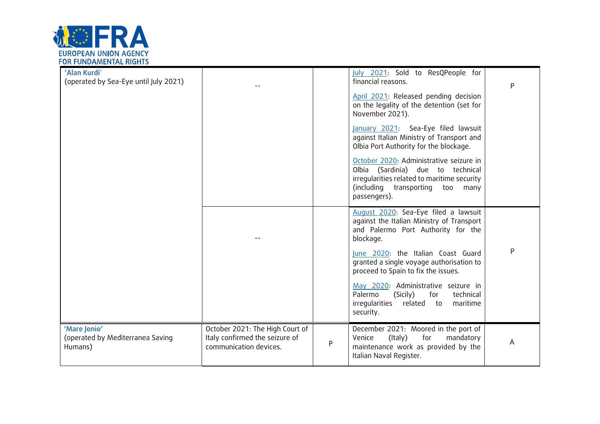

| 'Alan Kurdi'<br>(operated by Sea-Eye until July 2021)       |                                                                                             |   | July 2021: Sold to ResQPeople for<br>financial reasons.<br>April 2021: Released pending decision<br>on the legality of the detention (set for<br>November 2021).<br>January 2021: Sea-Eye filed lawsuit<br>against Italian Ministry of Transport and                                                                                                                                                  | Ρ |
|-------------------------------------------------------------|---------------------------------------------------------------------------------------------|---|-------------------------------------------------------------------------------------------------------------------------------------------------------------------------------------------------------------------------------------------------------------------------------------------------------------------------------------------------------------------------------------------------------|---|
|                                                             |                                                                                             |   | Olbia Port Authority for the blockage.<br>October 2020: Administrative seizure in<br>Olbia (Sardinia) due to technical<br>irregularities related to maritime security<br>(including transporting<br>too<br>many<br>passengers).                                                                                                                                                                       |   |
|                                                             |                                                                                             |   | August 2020: Sea-Eye filed a lawsuit<br>against the Italian Ministry of Transport<br>and Palermo Port Authority for the<br>blockage.<br>June 2020: the Italian Coast Guard<br>granted a single voyage authorisation to<br>proceed to Spain to fix the issues.<br>May 2020: Administrative seizure in<br>Palermo<br>technical<br>(Sicily)<br>for<br>irregularities related to<br>maritime<br>security. | P |
| 'Mare Jonio'<br>(operated by Mediterranea Saving<br>Humans) | October 2021: The High Court of<br>Italy confirmed the seizure of<br>communication devices. | P | December 2021: Moored in the port of<br>(Italy)<br>for<br>mandatory<br>Venice<br>maintenance work as provided by the<br>Italian Naval Register.                                                                                                                                                                                                                                                       | A |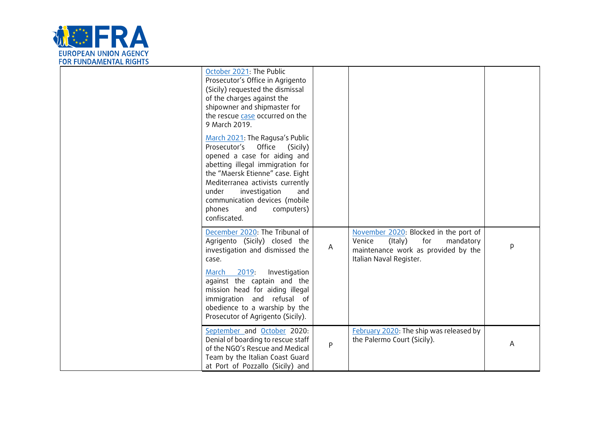

| October 2021: The Public<br>Prosecutor's Office in Agrigento<br>(Sicily) requested the dismissal<br>of the charges against the<br>shipowner and shipmaster for<br>the rescue case occurred on the<br>9 March 2019.                                                                                                              |   |                                                                                                                                                  |   |
|---------------------------------------------------------------------------------------------------------------------------------------------------------------------------------------------------------------------------------------------------------------------------------------------------------------------------------|---|--------------------------------------------------------------------------------------------------------------------------------------------------|---|
| March 2021: The Ragusa's Public<br>Prosecutor's Office<br>(Sicily)<br>opened a case for aiding and<br>abetting illegal immigration for<br>the "Maersk Etienne" case. Eight<br>Mediterranea activists currently<br>under<br>investigation<br>and<br>communication devices (mobile<br>phones<br>and<br>computers)<br>confiscated. |   |                                                                                                                                                  |   |
| December 2020: The Tribunal of<br>Agrigento (Sicily) closed the<br>investigation and dismissed the<br>case.<br>March 2019:<br>Investigation<br>against the captain and the<br>mission head for aiding illegal<br>immigration and refusal of                                                                                     | A | November 2020: Blocked in the port of<br>for<br>Venice<br>(Italy)<br>mandatory<br>maintenance work as provided by the<br>Italian Naval Register. | p |
| obedience to a warship by the<br>Prosecutor of Agrigento (Sicily).                                                                                                                                                                                                                                                              |   |                                                                                                                                                  |   |
| September and October 2020:<br>Denial of boarding to rescue staff<br>of the NGO's Rescue and Medical<br>Team by the Italian Coast Guard<br>at Port of Pozzallo (Sicily) and                                                                                                                                                     | P | February 2020: The ship was released by<br>the Palermo Court (Sicily).                                                                           | A |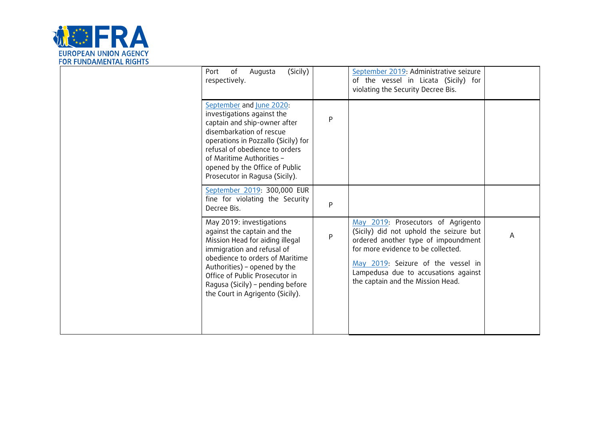

| (Sicily)<br>Port<br>of<br>Augusta<br>respectively.                                                                                                                                                                                                                                                    |   | September 2019: Administrative seizure<br>of the vessel in Licata (Sicily) for<br>violating the Security Decree Bis.                                                                                                                                                          |   |
|-------------------------------------------------------------------------------------------------------------------------------------------------------------------------------------------------------------------------------------------------------------------------------------------------------|---|-------------------------------------------------------------------------------------------------------------------------------------------------------------------------------------------------------------------------------------------------------------------------------|---|
| September and June 2020:<br>investigations against the<br>captain and ship-owner after<br>disembarkation of rescue<br>operations in Pozzallo (Sicily) for<br>refusal of obedience to orders<br>of Maritime Authorities -<br>opened by the Office of Public<br>Prosecutor in Ragusa (Sicily).          | P |                                                                                                                                                                                                                                                                               |   |
| September 2019: 300,000 EUR<br>fine for violating the Security<br>Decree Bis.                                                                                                                                                                                                                         | P |                                                                                                                                                                                                                                                                               |   |
| May 2019: investigations<br>against the captain and the<br>Mission Head for aiding illegal<br>immigration and refusal of<br>obedience to orders of Maritime<br>Authorities) - opened by the<br>Office of Public Prosecutor in<br>Ragusa (Sicily) - pending before<br>the Court in Agrigento (Sicily). | P | May 2019: Prosecutors of Agrigento<br>(Sicily) did not uphold the seizure but<br>ordered another type of impoundment<br>for more evidence to be collected.<br>May 2019: Seizure of the vessel in<br>Lampedusa due to accusations against<br>the captain and the Mission Head. | A |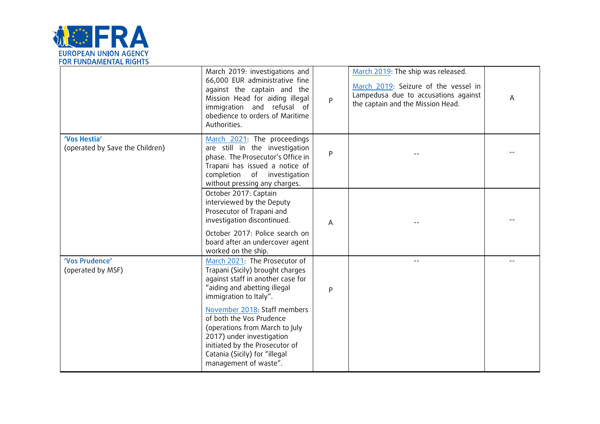

|                                                 | March 2019: investigations and<br>66,000 EUR administrative fine<br>against the captain and the<br>Mission Head for aiding illegal<br>immigration and refusal of<br>obedience to orders of Maritime<br>Authorities. | P         | March 2019: The ship was released.<br>March 2019: Seizure of the vessel in<br>Lampedusa due to accusations against<br>the captain and the Mission Head. | A |
|-------------------------------------------------|---------------------------------------------------------------------------------------------------------------------------------------------------------------------------------------------------------------------|-----------|---------------------------------------------------------------------------------------------------------------------------------------------------------|---|
| 'Vos Hestia'<br>(operated by Save the Children) | March 2021: The proceedings<br>are still in the investigation<br>phase. The Prosecutor's Office in<br>Trapani has issued a notice of<br>completion of investigation<br>without pressing any charges.                | ${\sf P}$ |                                                                                                                                                         |   |
|                                                 | October 2017: Captain<br>interviewed by the Deputy<br>Prosecutor of Trapani and<br>investigation discontinued.<br>October 2017: Police search on<br>board after an undercover agent                                 | A         |                                                                                                                                                         |   |
|                                                 | worked on the ship.                                                                                                                                                                                                 |           |                                                                                                                                                         |   |
| 'Vos Prudence'<br>(operated by MSF)             | March 2021: The Prosecutor of<br>Trapani (Sicily) brought charges<br>against staff in another case for<br>"aiding and abetting illegal<br>immigration to Italy".                                                    | P         | $- -$                                                                                                                                                   |   |
|                                                 | November 2018: Staff members<br>of both the Vos Prudence<br>(operations from March to July<br>2017) under investigation<br>initiated by the Prosecutor of<br>Catania (Sicily) for "illegal<br>management of waste". |           |                                                                                                                                                         |   |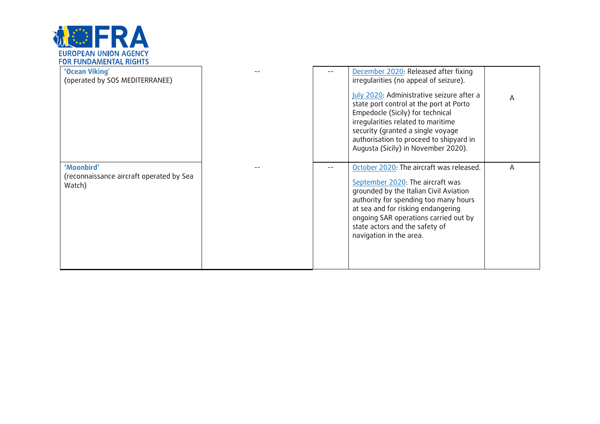

| 'Ocean Viking'<br>(operated by SOS MEDITERRANEE)                 |  | December 2020: Released after fixing<br>irregularities (no appeal of seizure).<br>July 2020: Administrative seizure after a<br>state port control at the port at Porto<br>Empedocle (Sicily) for technical<br>irregularities related to maritime<br>security (granted a single voyage<br>authorisation to proceed to shipyard in<br>Augusta (Sicily) in November 2020). | A |
|------------------------------------------------------------------|--|-------------------------------------------------------------------------------------------------------------------------------------------------------------------------------------------------------------------------------------------------------------------------------------------------------------------------------------------------------------------------|---|
| 'Moonbird'<br>(reconnaissance aircraft operated by Sea<br>Watch) |  | October 2020: The aircraft was released.<br>September 2020: The aircraft was<br>grounded by the Italian Civil Aviation<br>authority for spending too many hours<br>at sea and for risking endangering<br>ongoing SAR operations carried out by<br>state actors and the safety of<br>navigation in the area.                                                             | A |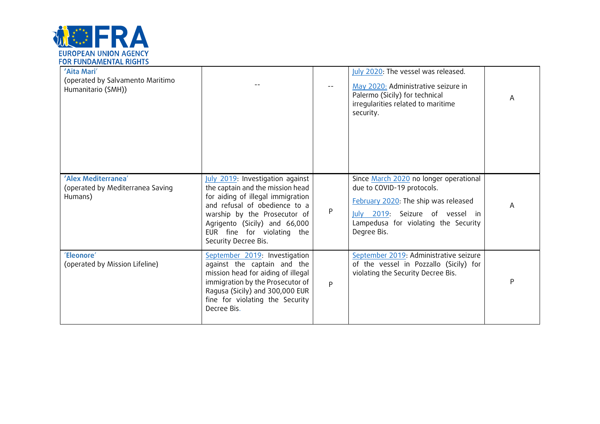

| 'Aita Mari'<br>(operated by Salvamento Maritimo<br>Humanitario (SMH)) |                                                                                                                                                                                                                                                                   |   | July 2020: The vessel was released.<br>May 2020: Administrative seizure in<br>Palermo (Sicily) for technical<br>irregularities related to maritime<br>security.                                        | A |
|-----------------------------------------------------------------------|-------------------------------------------------------------------------------------------------------------------------------------------------------------------------------------------------------------------------------------------------------------------|---|--------------------------------------------------------------------------------------------------------------------------------------------------------------------------------------------------------|---|
| 'Alex Mediterranea'<br>(operated by Mediterranea Saving<br>Humans)    | July 2019: Investigation against<br>the captain and the mission head<br>for aiding of illegal immigration<br>and refusal of obedience to a<br>warship by the Prosecutor of<br>Agrigento (Sicily) and 66,000<br>EUR fine for violating the<br>Security Decree Bis. | P | Since March 2020 no longer operational<br>due to COVID-19 protocols.<br>February 2020: The ship was released<br>July 2019: Seizure of vessel in<br>Lampedusa for violating the Security<br>Degree Bis. | A |
| 'Eleonore'<br>(operated by Mission Lifeline)                          | September 2019: Investigation<br>against the captain and the<br>mission head for aiding of illegal<br>immigration by the Prosecutor of<br>Ragusa (Sicily) and 300,000 EUR<br>fine for violating the Security<br>Decree Bis.                                       | P | September 2019: Administrative seizure<br>of the vessel in Pozzallo (Sicily) for<br>violating the Security Decree Bis.                                                                                 | P |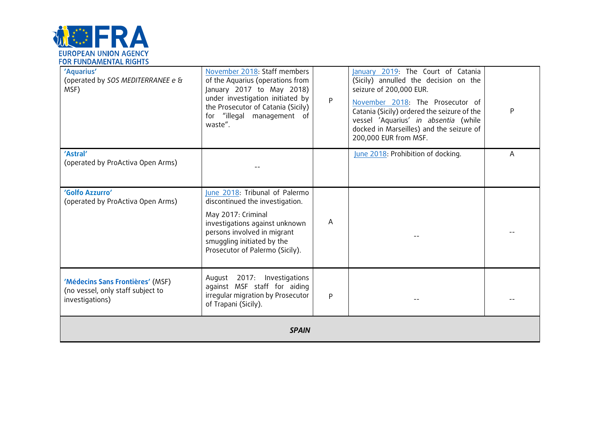

| 'Aquarius'<br>(operated by SOS MEDITERRANEE e &<br>MSF)                                  | November 2018: Staff members<br>of the Aquarius (operations from<br>January 2017 to May 2018)<br>under investigation initiated by<br>the Prosecutor of Catania (Sicily)<br>for "illegal management of<br>waste".          | P | January 2019: The Court of Catania<br>(Sicily) annulled the decision on the<br>seizure of 200,000 EUR.<br>November 2018: The Prosecutor of<br>Catania (Sicily) ordered the seizure of the<br>vessel 'Aquarius' in absentia (while<br>docked in Marseilles) and the seizure of<br>200,000 EUR from MSF. | P |  |
|------------------------------------------------------------------------------------------|---------------------------------------------------------------------------------------------------------------------------------------------------------------------------------------------------------------------------|---|--------------------------------------------------------------------------------------------------------------------------------------------------------------------------------------------------------------------------------------------------------------------------------------------------------|---|--|
| 'Astral'<br>(operated by ProActiva Open Arms)                                            |                                                                                                                                                                                                                           |   | June 2018: Prohibition of docking.                                                                                                                                                                                                                                                                     | A |  |
| 'Golfo Azzurro'<br>(operated by ProActiva Open Arms)                                     | June 2018: Tribunal of Palermo<br>discontinued the investigation.<br>May 2017: Criminal<br>investigations against unknown<br>persons involved in migrant<br>smuggling initiated by the<br>Prosecutor of Palermo (Sicily). | A |                                                                                                                                                                                                                                                                                                        |   |  |
| 'Médecins Sans Frontières' (MSF)<br>(no vessel, only staff subject to<br>investigations) | August 2017: Investigations<br>against MSF staff for aiding<br>irregular migration by Prosecutor<br>of Trapani (Sicily).                                                                                                  | P |                                                                                                                                                                                                                                                                                                        |   |  |
| <b>SPAIN</b>                                                                             |                                                                                                                                                                                                                           |   |                                                                                                                                                                                                                                                                                                        |   |  |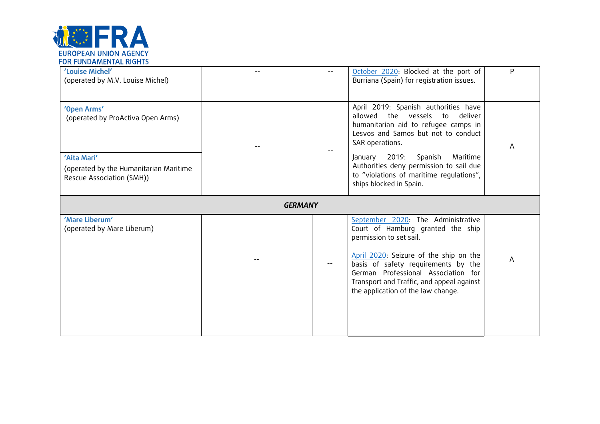

| 'Louise Michel'<br>(operated by M.V. Louise Michel)                                |                | October 2020: Blocked at the port of<br>Burriana (Spain) for registration issues.                                                                                                                                                                                                                             | P |
|------------------------------------------------------------------------------------|----------------|---------------------------------------------------------------------------------------------------------------------------------------------------------------------------------------------------------------------------------------------------------------------------------------------------------------|---|
| 'Open Arms'<br>(operated by ProActiva Open Arms)                                   |                | April 2019: Spanish authorities have<br>allowed the vessels<br>to<br>deliver<br>humanitarian aid to refugee camps in<br>Lesvos and Samos but not to conduct<br>SAR operations.                                                                                                                                | Α |
| 'Aita Mari'<br>(operated by the Humanitarian Maritime<br>Rescue Association (SMH)) |                | January 2019: Spanish<br>Maritime<br>Authorities deny permission to sail due<br>to "violations of maritime regulations",<br>ships blocked in Spain.                                                                                                                                                           |   |
|                                                                                    | <b>GERMANY</b> |                                                                                                                                                                                                                                                                                                               |   |
| 'Mare Liberum'<br>(operated by Mare Liberum)                                       |                | September 2020: The Administrative<br>Court of Hamburg granted the ship<br>permission to set sail.<br>April 2020: Seizure of the ship on the<br>basis of safety requirements by the<br>German Professional Association for<br>Transport and Traffic, and appeal against<br>the application of the law change. | A |
|                                                                                    |                |                                                                                                                                                                                                                                                                                                               |   |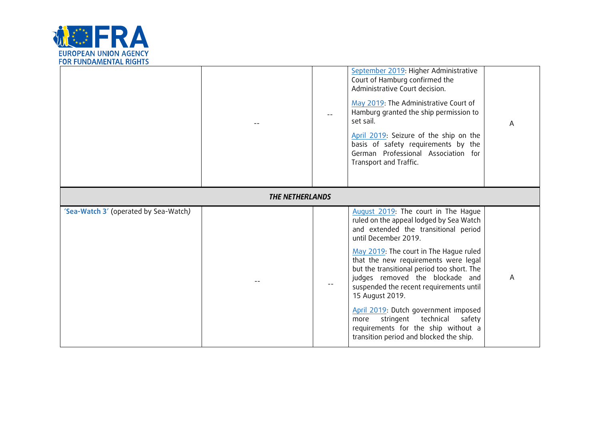

|                                       |  |  | September 2019: Higher Administrative<br>Court of Hamburg confirmed the<br>Administrative Court decision.<br>May 2019: The Administrative Court of<br>Hamburg granted the ship permission to<br>set sail.<br>April 2019: Seizure of the ship on the<br>basis of safety requirements by the<br>German Professional Association for<br>Transport and Traffic.                                                                                                                                                                                           | A |
|---------------------------------------|--|--|-------------------------------------------------------------------------------------------------------------------------------------------------------------------------------------------------------------------------------------------------------------------------------------------------------------------------------------------------------------------------------------------------------------------------------------------------------------------------------------------------------------------------------------------------------|---|
| <b>THE NETHERLANDS</b>                |  |  |                                                                                                                                                                                                                                                                                                                                                                                                                                                                                                                                                       |   |
| 'Sea-Watch 3' (operated by Sea-Watch) |  |  | August 2019: The court in The Hague<br>ruled on the appeal lodged by Sea Watch<br>and extended the transitional period<br>until December 2019.<br>May 2019: The court in The Hague ruled<br>that the new requirements were legal<br>but the transitional period too short. The<br>judges removed the blockade and<br>suspended the recent requirements until<br>15 August 2019.<br>April 2019: Dutch government imposed<br>technical<br>stringent<br>safety<br>more<br>requirements for the ship without a<br>transition period and blocked the ship. | A |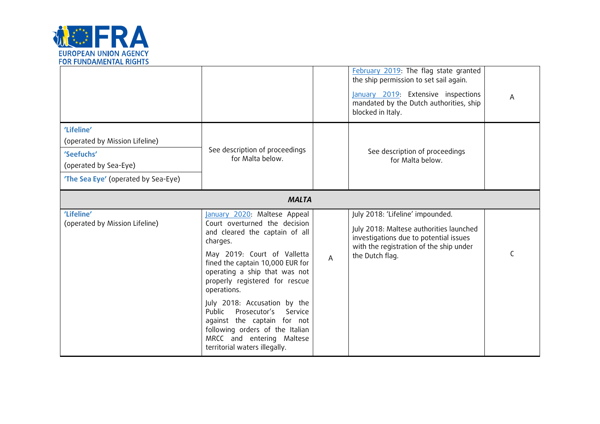

|                                                                                                                            |                                                                                                                                                                                                                                                                                                                                                                                                                                                                       |   | February 2019: The flag state granted<br>the ship permission to set sail again.<br>January 2019: Extensive inspections<br>mandated by the Dutch authorities, ship<br>blocked in Italy. | A |
|----------------------------------------------------------------------------------------------------------------------------|-----------------------------------------------------------------------------------------------------------------------------------------------------------------------------------------------------------------------------------------------------------------------------------------------------------------------------------------------------------------------------------------------------------------------------------------------------------------------|---|----------------------------------------------------------------------------------------------------------------------------------------------------------------------------------------|---|
| 'Lifeline'<br>(operated by Mission Lifeline)<br>'Seefuchs'<br>(operated by Sea-Eye)<br>'The Sea Eye' (operated by Sea-Eye) | See description of proceedings<br>for Malta below.                                                                                                                                                                                                                                                                                                                                                                                                                    |   | See description of proceedings<br>for Malta below.                                                                                                                                     |   |
| <b>MALTA</b>                                                                                                               |                                                                                                                                                                                                                                                                                                                                                                                                                                                                       |   |                                                                                                                                                                                        |   |
| 'Lifeline'<br>(operated by Mission Lifeline)                                                                               | January 2020: Maltese Appeal<br>Court overturned the decision<br>and cleared the captain of all<br>charges.<br>May 2019: Court of Valletta<br>fined the captain 10,000 EUR for<br>operating a ship that was not<br>properly registered for rescue<br>operations.<br>July 2018: Accusation by the<br>Public<br>Prosecutor's<br>Service<br>against the captain for not<br>following orders of the Italian<br>MRCC and entering Maltese<br>territorial waters illegally. | A | July 2018: 'Lifeline' impounded.<br>July 2018: Maltese authorities launched<br>investigations due to potential issues<br>with the registration of the ship under<br>the Dutch flag.    | C |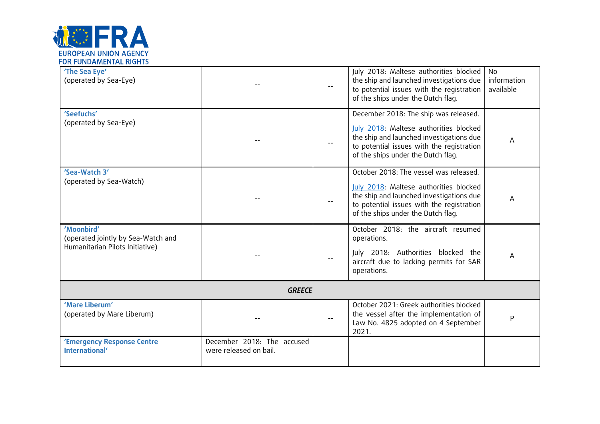

| 'The Sea Eye'<br>(operated by Sea-Eye)                                              |                                                      | $-\,-$ | July 2018: Maltese authorities blocked<br>the ship and launched investigations due<br>to potential issues with the registration<br>of the ships under the Dutch flag.                                           | <b>No</b><br>information<br>available |
|-------------------------------------------------------------------------------------|------------------------------------------------------|--------|-----------------------------------------------------------------------------------------------------------------------------------------------------------------------------------------------------------------|---------------------------------------|
| 'Seefuchs'<br>(operated by Sea-Eye)                                                 |                                                      |        | December 2018: The ship was released.<br>July 2018: Maltese authorities blocked<br>the ship and launched investigations due<br>to potential issues with the registration<br>of the ships under the Dutch flag.  | A                                     |
| 'Sea-Watch 3'<br>(operated by Sea-Watch)                                            |                                                      |        | October 2018: The vessel was released.<br>July 2018: Maltese authorities blocked<br>the ship and launched investigations due<br>to potential issues with the registration<br>of the ships under the Dutch flag. | A                                     |
| 'Moonbird'<br>(operated jointly by Sea-Watch and<br>Humanitarian Pilots Initiative) |                                                      |        | October 2018: the aircraft resumed<br>operations.<br>July 2018: Authorities blocked the<br>aircraft due to lacking permits for SAR<br>operations.                                                               | A                                     |
| <b>GREECE</b>                                                                       |                                                      |        |                                                                                                                                                                                                                 |                                       |
| 'Mare Liberum'<br>(operated by Mare Liberum)                                        |                                                      |        | October 2021: Greek authorities blocked<br>the vessel after the implementation of<br>Law No. 4825 adopted on 4 September<br>2021.                                                                               | $\mathsf{P}$                          |
| 'Emergency Response Centre<br>International'                                        | December 2018: The accused<br>were released on bail. |        |                                                                                                                                                                                                                 |                                       |